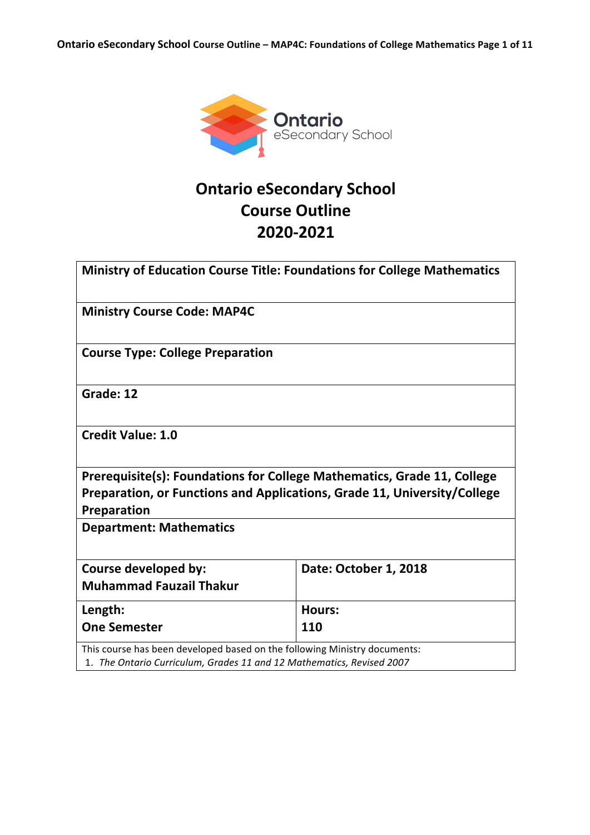

# **Ontario eSecondary School Course Outline 2020-2021**

|                                                                           | <b>Ministry of Education Course Title: Foundations for College Mathematics</b> |
|---------------------------------------------------------------------------|--------------------------------------------------------------------------------|
| <b>Ministry Course Code: MAP4C</b>                                        |                                                                                |
| <b>Course Type: College Preparation</b>                                   |                                                                                |
| Grade: 12                                                                 |                                                                                |
| <b>Credit Value: 1.0</b>                                                  |                                                                                |
|                                                                           | Prerequisite(s): Foundations for College Mathematics, Grade 11, College        |
|                                                                           | Preparation, or Functions and Applications, Grade 11, University/College       |
| Preparation                                                               |                                                                                |
| <b>Department: Mathematics</b>                                            |                                                                                |
| Course developed by:                                                      | Date: October 1, 2018                                                          |
| <b>Muhammad Fauzail Thakur</b>                                            |                                                                                |
| Length:                                                                   | <b>Hours:</b>                                                                  |
| <b>One Semester</b>                                                       | 110                                                                            |
| This course has been developed based on the following Ministry documents: |                                                                                |
| 1. The Ontario Curriculum, Grades 11 and 12 Mathematics, Revised 2007     |                                                                                |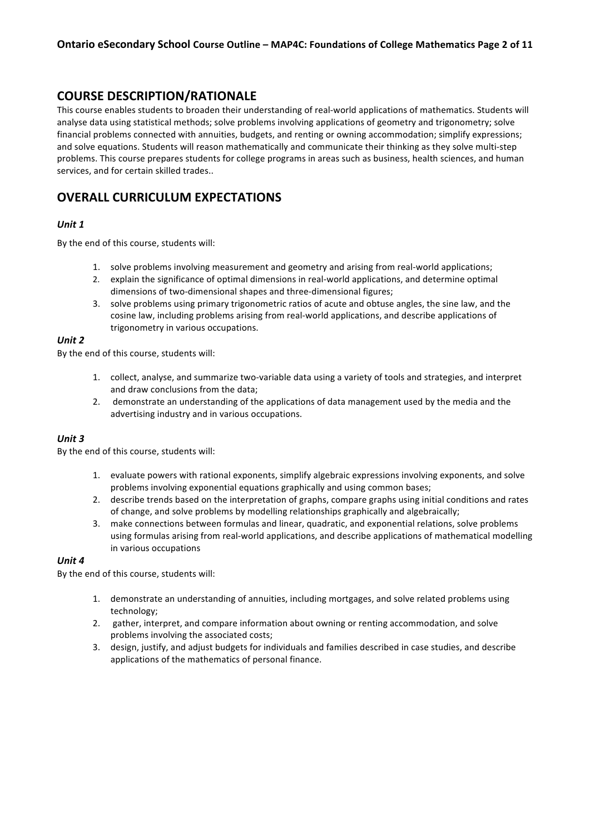### **COURSE DESCRIPTION/RATIONALE**

This course enables students to broaden their understanding of real-world applications of mathematics. Students will analyse data using statistical methods; solve problems involving applications of geometry and trigonometry; solve financial problems connected with annuities, budgets, and renting or owning accommodation; simplify expressions; and solve equations. Students will reason mathematically and communicate their thinking as they solve multi-step problems. This course prepares students for college programs in areas such as business, health sciences, and human services, and for certain skilled trades..

### **OVERALL CURRICULUM EXPECTATIONS**

#### *Unit 1*

By the end of this course, students will:

- 1. solve problems involving measurement and geometry and arising from real-world applications;
- 2. explain the significance of optimal dimensions in real-world applications, and determine optimal dimensions of two-dimensional shapes and three-dimensional figures;
- 3. solve problems using primary trigonometric ratios of acute and obtuse angles, the sine law, and the cosine law, including problems arising from real-world applications, and describe applications of trigonometry in various occupations.

#### *Unit 2*

By the end of this course, students will:

- 1. collect, analyse, and summarize two-variable data using a variety of tools and strategies, and interpret and draw conclusions from the data;
- 2. demonstrate an understanding of the applications of data management used by the media and the advertising industry and in various occupations.

#### *Unit 3*

By the end of this course, students will:

- 1. evaluate powers with rational exponents, simplify algebraic expressions involving exponents, and solve problems involving exponential equations graphically and using common bases;
- 2. describe trends based on the interpretation of graphs, compare graphs using initial conditions and rates of change, and solve problems by modelling relationships graphically and algebraically;
- 3. make connections between formulas and linear, quadratic, and exponential relations, solve problems using formulas arising from real-world applications, and describe applications of mathematical modelling in various occupations

#### *Unit 4*

By the end of this course, students will:

- 1. demonstrate an understanding of annuities, including mortgages, and solve related problems using technology;
- 2. gather, interpret, and compare information about owning or renting accommodation, and solve problems involving the associated costs;
- 3. design, justify, and adjust budgets for individuals and families described in case studies, and describe applications of the mathematics of personal finance.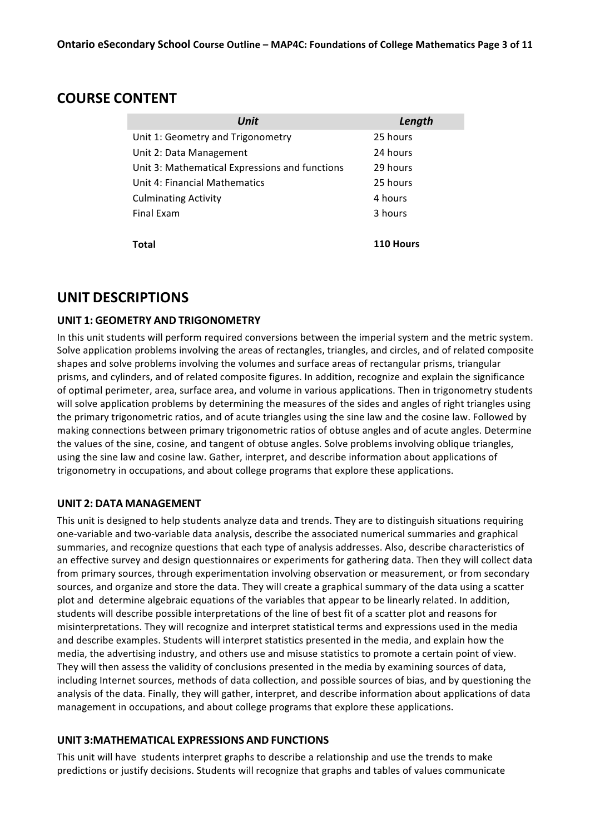### **COURSE CONTENT**

| Unit                                           | Length    |
|------------------------------------------------|-----------|
| Unit 1: Geometry and Trigonometry              | 25 hours  |
| Unit 2: Data Management                        | 24 hours  |
| Unit 3: Mathematical Expressions and functions | 29 hours  |
| Unit 4: Financial Mathematics                  | 25 hours  |
| <b>Culminating Activity</b>                    | 4 hours   |
| Final Exam                                     | 3 hours   |
|                                                |           |
| Total                                          | 110 Hours |

## **UNIT DESCRIPTIONS**

### **UNIT 1: GEOMETRY AND TRIGONOMETRY**

In this unit students will perform required conversions between the imperial system and the metric system. Solve application problems involving the areas of rectangles, triangles, and circles, and of related composite shapes and solve problems involving the volumes and surface areas of rectangular prisms, triangular prisms, and cylinders, and of related composite figures. In addition, recognize and explain the significance of optimal perimeter, area, surface area, and volume in various applications. Then in trigonometry students will solve application problems by determining the measures of the sides and angles of right triangles using the primary trigonometric ratios, and of acute triangles using the sine law and the cosine law. Followed by making connections between primary trigonometric ratios of obtuse angles and of acute angles. Determine the values of the sine, cosine, and tangent of obtuse angles. Solve problems involving oblique triangles, using the sine law and cosine law. Gather, interpret, and describe information about applications of trigonometry in occupations, and about college programs that explore these applications.

### **UNIT 2: DATA MANAGEMENT**

This unit is designed to help students analyze data and trends. They are to distinguish situations requiring one-variable and two-variable data analysis, describe the associated numerical summaries and graphical summaries, and recognize questions that each type of analysis addresses. Also, describe characteristics of an effective survey and design questionnaires or experiments for gathering data. Then they will collect data from primary sources, through experimentation involving observation or measurement, or from secondary sources, and organize and store the data. They will create a graphical summary of the data using a scatter plot and determine algebraic equations of the variables that appear to be linearly related. In addition, students will describe possible interpretations of the line of best fit of a scatter plot and reasons for misinterpretations. They will recognize and interpret statistical terms and expressions used in the media and describe examples. Students will interpret statistics presented in the media, and explain how the media, the advertising industry, and others use and misuse statistics to promote a certain point of view. They will then assess the validity of conclusions presented in the media by examining sources of data, including Internet sources, methods of data collection, and possible sources of bias, and by questioning the analysis of the data. Finally, they will gather, interpret, and describe information about applications of data management in occupations, and about college programs that explore these applications.

### **UNIT 3:MATHEMATICAL EXPRESSIONS AND FUNCTIONS**

This unit will have students interpret graphs to describe a relationship and use the trends to make predictions or justify decisions. Students will recognize that graphs and tables of values communicate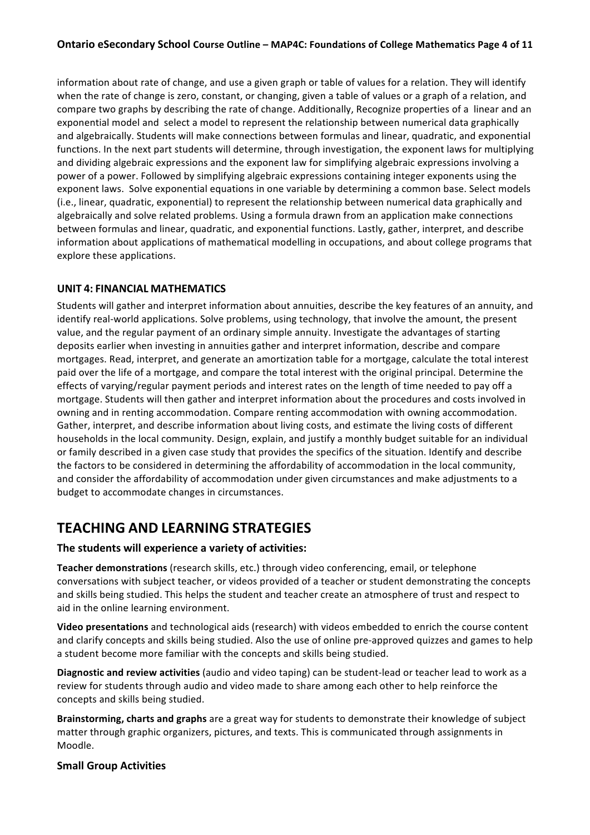### **Ontario eSecondary School Course Outline - MAP4C: Foundations of College Mathematics Page 4 of 11**

information about rate of change, and use a given graph or table of values for a relation. They will identify when the rate of change is zero, constant, or changing, given a table of values or a graph of a relation, and compare two graphs by describing the rate of change. Additionally, Recognize properties of a linear and an exponential model and select a model to represent the relationship between numerical data graphically and algebraically. Students will make connections between formulas and linear, quadratic, and exponential functions. In the next part students will determine, through investigation, the exponent laws for multiplying and dividing algebraic expressions and the exponent law for simplifying algebraic expressions involving a power of a power. Followed by simplifying algebraic expressions containing integer exponents using the exponent laws. Solve exponential equations in one variable by determining a common base. Select models (i.e., linear, quadratic, exponential) to represent the relationship between numerical data graphically and algebraically and solve related problems. Using a formula drawn from an application make connections between formulas and linear, quadratic, and exponential functions. Lastly, gather, interpret, and describe information about applications of mathematical modelling in occupations, and about college programs that explore these applications.

### **UNIT 4: FINANCIAL MATHEMATICS**

Students will gather and interpret information about annuities, describe the key features of an annuity, and identify real-world applications. Solve problems, using technology, that involve the amount, the present value, and the regular payment of an ordinary simple annuity. Investigate the advantages of starting deposits earlier when investing in annuities gather and interpret information, describe and compare mortgages. Read, interpret, and generate an amortization table for a mortgage, calculate the total interest paid over the life of a mortgage, and compare the total interest with the original principal. Determine the effects of varying/regular payment periods and interest rates on the length of time needed to pay off a mortgage. Students will then gather and interpret information about the procedures and costs involved in owning and in renting accommodation. Compare renting accommodation with owning accommodation. Gather, interpret, and describe information about living costs, and estimate the living costs of different households in the local community. Design, explain, and justify a monthly budget suitable for an individual or family described in a given case study that provides the specifics of the situation. Identify and describe the factors to be considered in determining the affordability of accommodation in the local community, and consider the affordability of accommodation under given circumstances and make adjustments to a budget to accommodate changes in circumstances.

## **TEACHING AND LEARNING STRATEGIES**

### **The students will experience a variety of activities:**

**Teacher demonstrations** (research skills, etc.) through video conferencing, email, or telephone conversations with subject teacher, or videos provided of a teacher or student demonstrating the concepts and skills being studied. This helps the student and teacher create an atmosphere of trust and respect to aid in the online learning environment.

**Video presentations** and technological aids (research) with videos embedded to enrich the course content and clarify concepts and skills being studied. Also the use of online pre-approved quizzes and games to help a student become more familiar with the concepts and skills being studied.

**Diagnostic and review activities** (audio and video taping) can be student-lead or teacher lead to work as a review for students through audio and video made to share among each other to help reinforce the concepts and skills being studied.

**Brainstorming, charts and graphs** are a great way for students to demonstrate their knowledge of subject matter through graphic organizers, pictures, and texts. This is communicated through assignments in Moodle.

#### **Small Group Activities**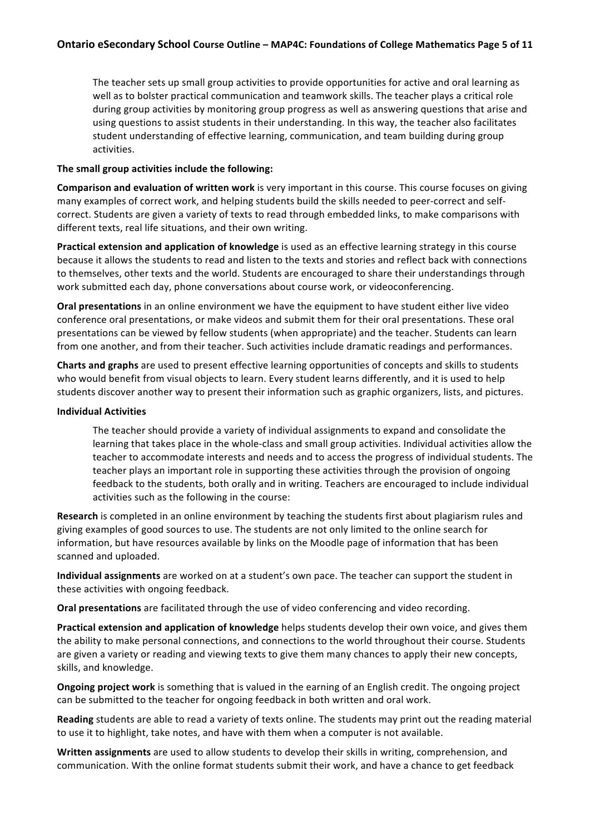The teacher sets up small group activities to provide opportunities for active and oral learning as well as to bolster practical communication and teamwork skills. The teacher plays a critical role during group activities by monitoring group progress as well as answering questions that arise and using questions to assist students in their understanding. In this way, the teacher also facilitates student understanding of effective learning, communication, and team building during group activities.

#### The small group activities include the following:

**Comparison and evaluation of written work** is very important in this course. This course focuses on giving many examples of correct work, and helping students build the skills needed to peer-correct and selfcorrect. Students are given a variety of texts to read through embedded links, to make comparisons with different texts, real life situations, and their own writing.

**Practical extension and application of knowledge** is used as an effective learning strategy in this course because it allows the students to read and listen to the texts and stories and reflect back with connections to themselves, other texts and the world. Students are encouraged to share their understandings through work submitted each day, phone conversations about course work, or videoconferencing.

**Oral presentations** in an online environment we have the equipment to have student either live video conference oral presentations, or make videos and submit them for their oral presentations. These oral presentations can be viewed by fellow students (when appropriate) and the teacher. Students can learn from one another, and from their teacher. Such activities include dramatic readings and performances.

**Charts and graphs** are used to present effective learning opportunities of concepts and skills to students who would benefit from visual objects to learn. Every student learns differently, and it is used to help students discover another way to present their information such as graphic organizers, lists, and pictures.

#### **Individual Activities**

The teacher should provide a variety of individual assignments to expand and consolidate the learning that takes place in the whole-class and small group activities. Individual activities allow the teacher to accommodate interests and needs and to access the progress of individual students. The teacher plays an important role in supporting these activities through the provision of ongoing feedback to the students, both orally and in writing. Teachers are encouraged to include individual activities such as the following in the course:

**Research** is completed in an online environment by teaching the students first about plagiarism rules and giving examples of good sources to use. The students are not only limited to the online search for information, but have resources available by links on the Moodle page of information that has been scanned and uploaded.

**Individual assignments** are worked on at a student's own pace. The teacher can support the student in these activities with ongoing feedback.

**Oral presentations** are facilitated through the use of video conferencing and video recording.

**Practical extension and application of knowledge** helps students develop their own voice, and gives them the ability to make personal connections, and connections to the world throughout their course. Students are given a variety or reading and viewing texts to give them many chances to apply their new concepts, skills, and knowledge.

**Ongoing project work** is something that is valued in the earning of an English credit. The ongoing project can be submitted to the teacher for ongoing feedback in both written and oral work.

**Reading** students are able to read a variety of texts online. The students may print out the reading material to use it to highlight, take notes, and have with them when a computer is not available.

**Written assignments** are used to allow students to develop their skills in writing, comprehension, and communication. With the online format students submit their work, and have a chance to get feedback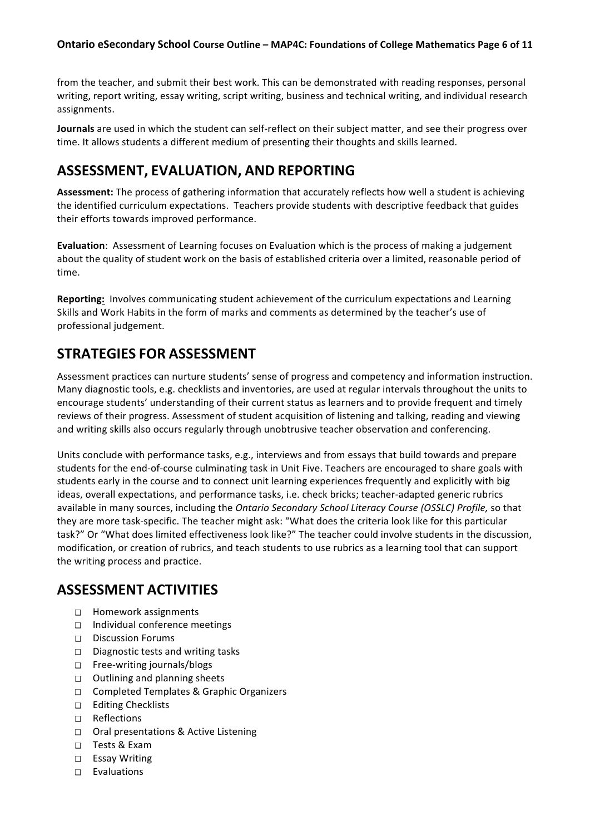from the teacher, and submit their best work. This can be demonstrated with reading responses, personal writing, report writing, essay writing, script writing, business and technical writing, and individual research assignments.

**Journals** are used in which the student can self-reflect on their subject matter, and see their progress over time. It allows students a different medium of presenting their thoughts and skills learned.

## **ASSESSMENT, EVALUATION, AND REPORTING**

Assessment: The process of gathering information that accurately reflects how well a student is achieving the identified curriculum expectations. Teachers provide students with descriptive feedback that guides their efforts towards improved performance.

**Evaluation**: Assessment of Learning focuses on Evaluation which is the process of making a judgement about the quality of student work on the basis of established criteria over a limited, reasonable period of time. 

**Reporting:** Involves communicating student achievement of the curriculum expectations and Learning Skills and Work Habits in the form of marks and comments as determined by the teacher's use of professional judgement.

## **STRATEGIES FOR ASSESSMENT**

Assessment practices can nurture students' sense of progress and competency and information instruction. Many diagnostic tools, e.g. checklists and inventories, are used at regular intervals throughout the units to encourage students' understanding of their current status as learners and to provide frequent and timely reviews of their progress. Assessment of student acquisition of listening and talking, reading and viewing and writing skills also occurs regularly through unobtrusive teacher observation and conferencing.

Units conclude with performance tasks, e.g., interviews and from essays that build towards and prepare students for the end-of-course culminating task in Unit Five. Teachers are encouraged to share goals with students early in the course and to connect unit learning experiences frequently and explicitly with big ideas, overall expectations, and performance tasks, i.e. check bricks; teacher-adapted generic rubrics available in many sources, including the *Ontario Secondary School Literacy Course (OSSLC) Profile*, so that they are more task-specific. The teacher might ask: "What does the criteria look like for this particular task?" Or "What does limited effectiveness look like?" The teacher could involve students in the discussion, modification, or creation of rubrics, and teach students to use rubrics as a learning tool that can support the writing process and practice.

## **ASSESSMENT ACTIVITIES**

- □ Homework assignments
- $\Box$  Individual conference meetings
- □ Discussion Forums
- $\Box$  Diagnostic tests and writing tasks
- □ Free-writing journals/blogs
- $\Box$  Outlining and planning sheets
- □ Completed Templates & Graphic Organizers
- □ Editing Checklists
- ❑ Reflections
- □ Oral presentations & Active Listening
- ❑ Tests & Exam
- ❑ Essay Writing
- $\Box$  Evaluations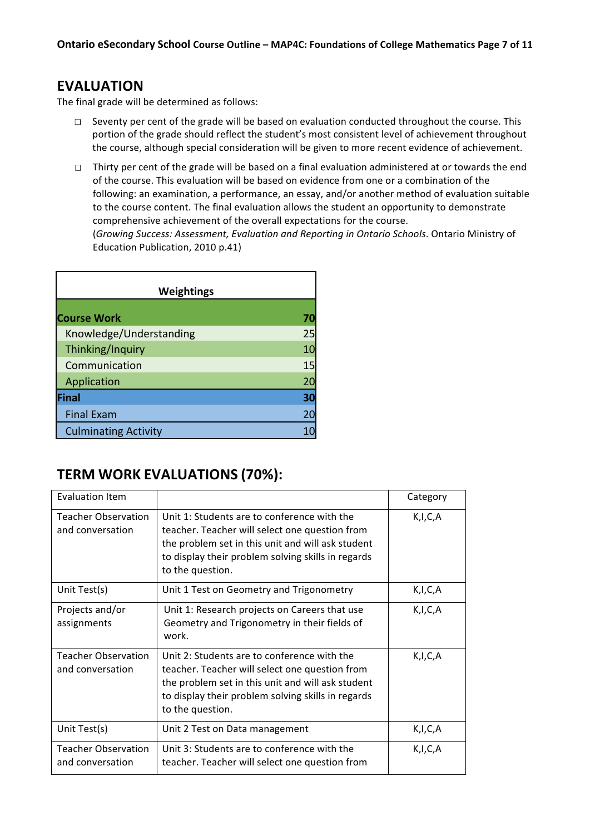### **EVALUATION**

The final grade will be determined as follows:

- $\Box$  Seventy per cent of the grade will be based on evaluation conducted throughout the course. This portion of the grade should reflect the student's most consistent level of achievement throughout the course, although special consideration will be given to more recent evidence of achievement.
- □ Thirty per cent of the grade will be based on a final evaluation administered at or towards the end of the course. This evaluation will be based on evidence from one or a combination of the following: an examination, a performance, an essay, and/or another method of evaluation suitable to the course content. The final evaluation allows the student an opportunity to demonstrate comprehensive achievement of the overall expectations for the course.

(Growing Success: Assessment, Evaluation and Reporting in Ontario Schools. Ontario Ministry of Education Publication, 2010 p.41)

| <b>Weightings</b>           |    |
|-----------------------------|----|
|                             |    |
| <b>Course Work</b>          |    |
| Knowledge/Understanding     | 25 |
| Thinking/Inquiry            | 10 |
| Communication               | 15 |
| Application                 | 20 |
| Final                       | 30 |
| <b>Final Exam</b>           | 20 |
| <b>Culminating Activity</b> |    |

## **TERM WORK EVALUATIONS (70%):**

| <b>Evaluation Item</b>                         |                                                                                                                                                                                                                              | Category |
|------------------------------------------------|------------------------------------------------------------------------------------------------------------------------------------------------------------------------------------------------------------------------------|----------|
| <b>Teacher Observation</b><br>and conversation | Unit 1: Students are to conference with the<br>teacher. Teacher will select one question from<br>the problem set in this unit and will ask student<br>to display their problem solving skills in regards<br>to the question. | K,I,C,A  |
| Unit Test(s)                                   | Unit 1 Test on Geometry and Trigonometry                                                                                                                                                                                     | K,I,C,A  |
| Projects and/or<br>assignments                 | Unit 1: Research projects on Careers that use<br>Geometry and Trigonometry in their fields of<br>work.                                                                                                                       | K,I,C,A  |
| <b>Teacher Observation</b><br>and conversation | Unit 2: Students are to conference with the<br>teacher. Teacher will select one question from<br>the problem set in this unit and will ask student<br>to display their problem solving skills in regards<br>to the question. | K,I,C,A  |
| Unit Test(s)                                   | Unit 2 Test on Data management                                                                                                                                                                                               | K,I,C,A  |
| <b>Teacher Observation</b><br>and conversation | Unit 3: Students are to conference with the<br>teacher. Teacher will select one question from                                                                                                                                | K,I,C,A  |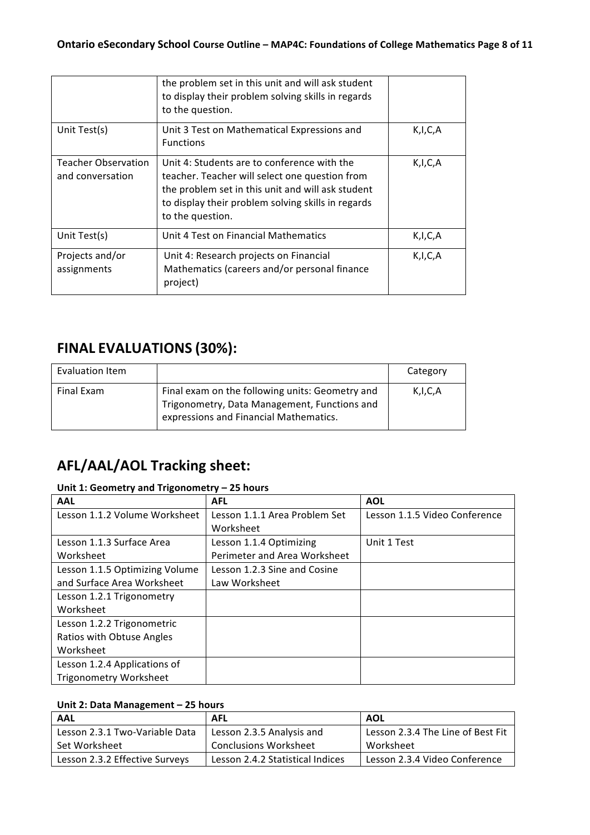|                                                | the problem set in this unit and will ask student<br>to display their problem solving skills in regards<br>to the question.                                                                                                  |         |
|------------------------------------------------|------------------------------------------------------------------------------------------------------------------------------------------------------------------------------------------------------------------------------|---------|
| Unit Test(s)                                   | Unit 3 Test on Mathematical Expressions and<br><b>Functions</b>                                                                                                                                                              | K,I,C,A |
| <b>Teacher Observation</b><br>and conversation | Unit 4: Students are to conference with the<br>teacher. Teacher will select one question from<br>the problem set in this unit and will ask student<br>to display their problem solving skills in regards<br>to the question. | K,I,C,A |
| Unit Test(s)                                   | Unit 4 Test on Financial Mathematics                                                                                                                                                                                         | K,I,C,A |
| Projects and/or<br>assignments                 | Unit 4: Research projects on Financial<br>Mathematics (careers and/or personal finance<br>project)                                                                                                                           | K,I,C,A |

# **FINAL EVALUATIONS (30%):**

| Evaluation Item |                                                                                                                                           | Category   |
|-----------------|-------------------------------------------------------------------------------------------------------------------------------------------|------------|
| Final Exam      | Final exam on the following units: Geometry and<br>Trigonometry, Data Management, Functions and<br>expressions and Financial Mathematics. | K, I, C, A |

# **AFL/AAL/AOL Tracking sheet:**

### Unit 1: Geometry and Trigonometry - 25 hours

| <b>AAL</b>                     | <b>AFL</b>                    | <b>AOL</b>                    |
|--------------------------------|-------------------------------|-------------------------------|
| Lesson 1.1.2 Volume Worksheet  | Lesson 1.1.1 Area Problem Set | Lesson 1.1.5 Video Conference |
|                                | Worksheet                     |                               |
| Lesson 1.1.3 Surface Area      | Lesson 1.1.4 Optimizing       | Unit 1 Test                   |
| Worksheet                      | Perimeter and Area Worksheet  |                               |
| Lesson 1.1.5 Optimizing Volume | Lesson 1.2.3 Sine and Cosine  |                               |
| and Surface Area Worksheet     | Law Worksheet                 |                               |
| Lesson 1.2.1 Trigonometry      |                               |                               |
| Worksheet                      |                               |                               |
| Lesson 1.2.2 Trigonometric     |                               |                               |
| Ratios with Obtuse Angles      |                               |                               |
| Worksheet                      |                               |                               |
| Lesson 1.2.4 Applications of   |                               |                               |
| <b>Trigonometry Worksheet</b>  |                               |                               |

### Unit 2: Data Management - 25 hours

| <b>AAL</b>                     | <b>AFL</b>                       | <b>AOL</b>                        |
|--------------------------------|----------------------------------|-----------------------------------|
| Lesson 2.3.1 Two-Variable Data | Lesson 2.3.5 Analysis and        | Lesson 2.3.4 The Line of Best Fit |
| Set Worksheet                  | <b>Conclusions Worksheet</b>     | Worksheet                         |
| Lesson 2.3.2 Effective Surveys | Lesson 2.4.2 Statistical Indices | Lesson 2.3.4 Video Conference     |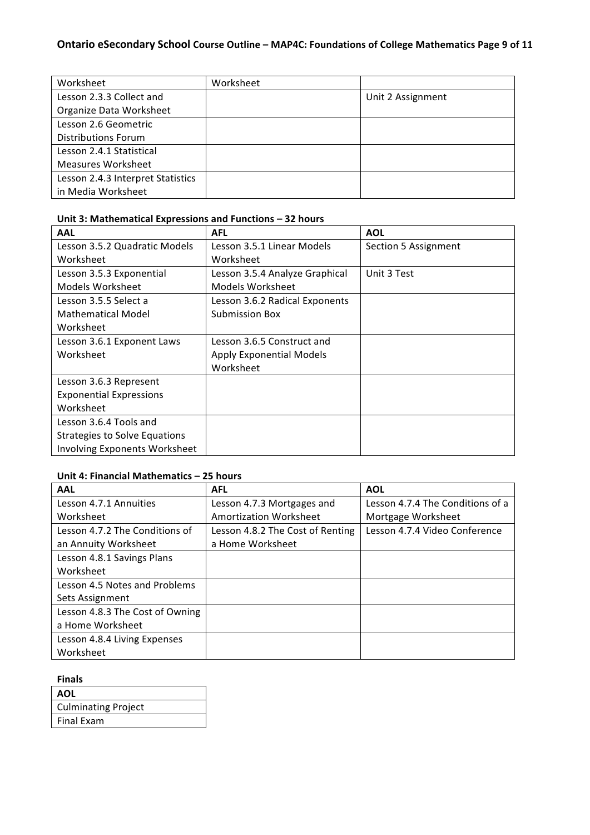### **Ontario eSecondary School Course Outline - MAP4C: Foundations of College Mathematics Page 9 of 11**

| Worksheet                         | Worksheet |                   |
|-----------------------------------|-----------|-------------------|
| Lesson 2.3.3 Collect and          |           | Unit 2 Assignment |
| Organize Data Worksheet           |           |                   |
| Lesson 2.6 Geometric              |           |                   |
| Distributions Forum               |           |                   |
| Lesson 2.4.1 Statistical          |           |                   |
| <b>Measures Worksheet</b>         |           |                   |
| Lesson 2.4.3 Interpret Statistics |           |                   |
| in Media Worksheet                |           |                   |

### Unit 3: Mathematical Expressions and Functions – 32 hours

| <b>AAL</b>                           | <b>AFL</b>                      | <b>AOL</b>           |
|--------------------------------------|---------------------------------|----------------------|
| Lesson 3.5.2 Quadratic Models        | Lesson 3.5.1 Linear Models      | Section 5 Assignment |
| Worksheet                            | Worksheet                       |                      |
| Lesson 3.5.3 Exponential             | Lesson 3.5.4 Analyze Graphical  | Unit 3 Test          |
| Models Worksheet                     | Models Worksheet                |                      |
| Lesson 3.5.5 Select a                | Lesson 3.6.2 Radical Exponents  |                      |
| <b>Mathematical Model</b>            | <b>Submission Box</b>           |                      |
| Worksheet                            |                                 |                      |
| Lesson 3.6.1 Exponent Laws           | Lesson 3.6.5 Construct and      |                      |
| Worksheet                            | <b>Apply Exponential Models</b> |                      |
|                                      | Worksheet                       |                      |
| Lesson 3.6.3 Represent               |                                 |                      |
| <b>Exponential Expressions</b>       |                                 |                      |
| Worksheet                            |                                 |                      |
| Lesson 3.6.4 Tools and               |                                 |                      |
| Strategies to Solve Equations        |                                 |                      |
| <b>Involving Exponents Worksheet</b> |                                 |                      |

### Unit 4: Financial Mathematics - 25 hours

| AAL                             | <b>AFL</b>                       | <b>AOL</b>                       |
|---------------------------------|----------------------------------|----------------------------------|
| Lesson 4.7.1 Annuities          | Lesson 4.7.3 Mortgages and       | Lesson 4.7.4 The Conditions of a |
| Worksheet                       | Amortization Worksheet           | Mortgage Worksheet               |
| Lesson 4.7.2 The Conditions of  | Lesson 4.8.2 The Cost of Renting | Lesson 4.7.4 Video Conference    |
| an Annuity Worksheet            | a Home Worksheet                 |                                  |
| Lesson 4.8.1 Savings Plans      |                                  |                                  |
| Worksheet                       |                                  |                                  |
| Lesson 4.5 Notes and Problems   |                                  |                                  |
| Sets Assignment                 |                                  |                                  |
| Lesson 4.8.3 The Cost of Owning |                                  |                                  |
| a Home Worksheet                |                                  |                                  |
| Lesson 4.8.4 Living Expenses    |                                  |                                  |
| Worksheet                       |                                  |                                  |

#### **Finals**

| <b>AOL</b>                 |
|----------------------------|
| <b>Culminating Project</b> |
| Final Exam                 |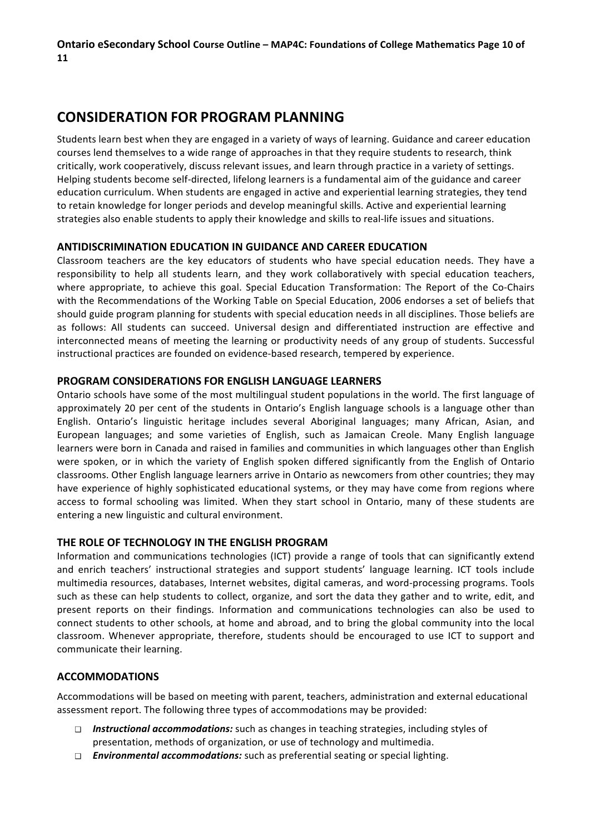## **CONSIDERATION FOR PROGRAM PLANNING**

Students learn best when they are engaged in a variety of ways of learning. Guidance and career education courses lend themselves to a wide range of approaches in that they require students to research, think critically, work cooperatively, discuss relevant issues, and learn through practice in a variety of settings. Helping students become self-directed, lifelong learners is a fundamental aim of the guidance and career education curriculum. When students are engaged in active and experiential learning strategies, they tend to retain knowledge for longer periods and develop meaningful skills. Active and experiential learning strategies also enable students to apply their knowledge and skills to real-life issues and situations.

### **ANTIDISCRIMINATION EDUCATION IN GUIDANCE AND CAREER EDUCATION**

Classroom teachers are the key educators of students who have special education needs. They have a responsibility to help all students learn, and they work collaboratively with special education teachers, where appropriate, to achieve this goal. Special Education Transformation: The Report of the Co-Chairs with the Recommendations of the Working Table on Special Education, 2006 endorses a set of beliefs that should guide program planning for students with special education needs in all disciplines. Those beliefs are as follows: All students can succeed. Universal design and differentiated instruction are effective and interconnected means of meeting the learning or productivity needs of any group of students. Successful instructional practices are founded on evidence-based research, tempered by experience.

### **PROGRAM CONSIDERATIONS FOR ENGLISH LANGUAGE LEARNERS**

Ontario schools have some of the most multilingual student populations in the world. The first language of approximately 20 per cent of the students in Ontario's English language schools is a language other than English. Ontario's linguistic heritage includes several Aboriginal languages; many African, Asian, and European languages; and some varieties of English, such as Jamaican Creole. Many English language learners were born in Canada and raised in families and communities in which languages other than English were spoken, or in which the variety of English spoken differed significantly from the English of Ontario classrooms. Other English language learners arrive in Ontario as newcomers from other countries; they may have experience of highly sophisticated educational systems, or they may have come from regions where access to formal schooling was limited. When they start school in Ontario, many of these students are entering a new linguistic and cultural environment.

### **THE ROLE OF TECHNOLOGY IN THE ENGLISH PROGRAM**

Information and communications technologies (ICT) provide a range of tools that can significantly extend and enrich teachers' instructional strategies and support students' language learning. ICT tools include multimedia resources, databases, Internet websites, digital cameras, and word-processing programs. Tools such as these can help students to collect, organize, and sort the data they gather and to write, edit, and present reports on their findings. Information and communications technologies can also be used to connect students to other schools, at home and abroad, and to bring the global community into the local classroom. Whenever appropriate, therefore, students should be encouraged to use ICT to support and communicate their learning.

### **ACCOMMODATIONS**

Accommodations will be based on meeting with parent, teachers, administration and external educational assessment report. The following three types of accommodations may be provided:

- □ **Instructional accommodations:** such as changes in teaching strategies, including styles of presentation, methods of organization, or use of technology and multimedia.
- □ *Environmental accommodations:* such as preferential seating or special lighting.